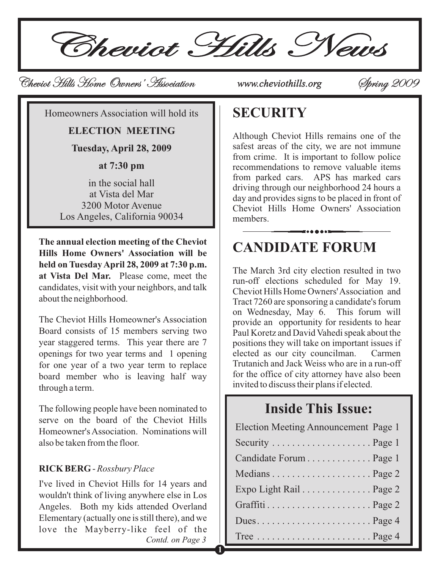Cheviot Hills News

**1**

# Cheviot Hills Home Owners' Association Cheviot Hills Home Owners' *www.cheviothills.org* Spring 2009 Spring

Homeowners Association will hold its

**ELECTION MEETING**

**Tuesday, April 28, 2009**

**at 7:30 pm**

in the social hall at Vista del Mar 3200 Motor Avenue Los Angeles, California 90034

**The annual election meeting of the Cheviot Hills Home Owners' Association will be held on Tuesday April 28, 2009 at 7:30 p.m. at Vista Del Mar.** Please come, meet the candidates, visit with your neighbors, and talk about the neighborhood.

The Cheviot Hills Homeowner's Association Board consists of 15 members serving two year staggered terms. This year there are 7 openings for two year terms and 1 opening for one year of a two year term to replace board member who is leaving half way through a term.

The following people have been nominated to serve on the board of the Cheviot Hills Homeowner's Association. Nominations will also be taken from the floor.

#### **RICK BERG** - *Rossbury Place*

I've lived in Cheviot Hills for 14 years and wouldn't think of living anywhere else in Los Angeles. Both my kids attended Overland Elementary (actually one is still there), and we love the Mayberry-like feel of the *Contd. on Page 3*

### **SECURITY**

Although Cheviot Hills remains one of the safest areas of the city, we are not immune from crime. It is important to follow police recommendations to remove valuable items from parked cars. APS has marked cars driving through our neighborhood 24 hours a day and provides signs to be placed in front of Cheviot Hills Home Owners' Association members.

# **CANDIDATE FORUM**

The March 3rd city election resulted in two run-off elections scheduled for May 19. Cheviot Hills Home Owners'Association and Tract 7260 are sponsoring a candidate's forum on Wednesday, May 6. This forum will provide an opportunity for residents to hear Paul Koretz and David Vahedi speak about the positions they will take on important issues if elected as our city councilman. Carmen Trutanich and Jack Weiss who are in a run-off for the office of city attorney have also been invited to discuss their plans if elected.

### **Inside This Issue:**

| <b>Election Meeting Announcement Page 1</b> |  |
|---------------------------------------------|--|
|                                             |  |
| Candidate Forum Page 1                      |  |
|                                             |  |
| Expo Light Rail Page 2                      |  |
|                                             |  |
|                                             |  |
|                                             |  |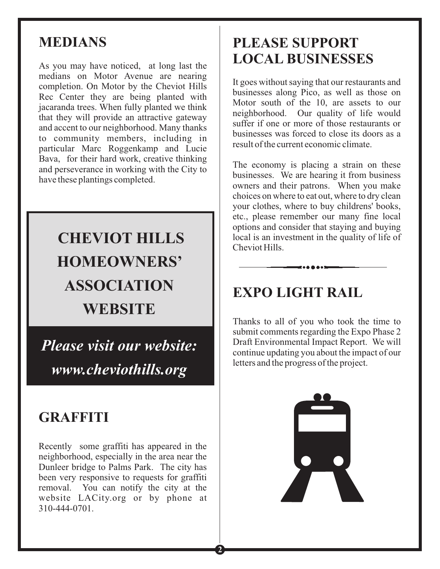## **MEDIANS**

As you may have noticed, at long last the medians on Motor Avenue are nearing completion. On Motor by the Cheviot Hills Rec Center they are being planted with jacaranda trees. When fully planted we think that they will provide an attractive gateway and accent to our neighborhood. Many thanks to community members, including in particular Marc Roggenkamp and Lucie Bava, for their hard work, creative thinking and perseverance in working with the City to have these plantings completed.

# **CHEVIOT HILLS HOMEOWNERS' ASSOCIATION WEBSITE**

*Please visit our website: www.cheviothills.org*

# **GRAFFITI**

Recently some graffiti has appeared in the neighborhood, especially in the area near the Dunleer bridge to Palms Park. The city has been very responsive to requests for graffiti removal. You can notify the city at the website LACity.org or by phone at 310-444-0701.

**2**

# **PLEASE SUPPORT LOCAL BUSINESSES**

It goes without saying that our restaurants and businesses along Pico, as well as those on Motor south of the 10, are assets to our neighborhood. Our quality of life would suffer if one or more of those restaurants or businesses was forced to close its doors as a result of the current economic climate.

The economy is placing a strain on these businesses. We are hearing it from business owners and their patrons. When you make choices on where to eat out, where to dry clean your clothes, where to buy childrens' books, etc., please remember our many fine local options and consider that staying and buying local is an investment in the quality of life of Cheviot Hills.

# **EXPO LIGHT RAIL**

Thanks to all of you who took the time to submit comments regarding the Expo Phase 2 Draft Environmental Impact Report. We will continue updating you about the impact of our letters and the progress of the project.

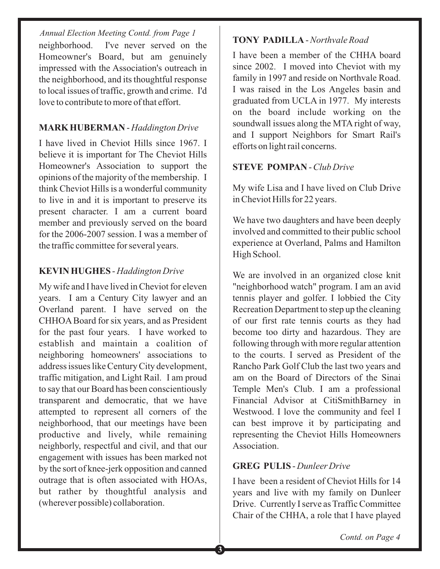*Annual Election Meeting Contd. from Page 1* neighborhood. I've never served on the Homeowner's Board, but am genuinely impressed with the Association's outreach in the neighborhood, and its thoughtful response to local issues of traffic, growth and crime. I'd love to contribute to more of that effort.

#### - **MARK HUBERMAN** *Haddington Drive*

I have lived in Cheviot Hills since 1967. I believe it is important for The Cheviot Hills Homeowner's Association to support the opinions of the majority of the membership. I think Cheviot Hills is a wonderful community to live in and it is important to preserve its present character. I am a current board member and previously served on the board for the 2006-2007 session. I was a member of the traffic committee for several years.

#### - **KEVIN HUGHES** *Haddington Drive*

My wife and I have lived in Cheviot for eleven years. I am a Century City lawyer and an Overland parent. I have served on the CHHOA Board for six years, and as President for the past four years. I have worked to establish and maintain a coalition of neighboring homeowners' associations to address issues like Century City development, traffic mitigation, and Light Rail. I am proud to say that our Board has been conscientiously transparent and democratic, that we have attempted to represent all corners of the neighborhood, that our meetings have been productive and lively, while remaining neighborly, respectful and civil, and that our engagement with issues has been marked not by the sort of knee-jerk opposition and canned outrage that is often associated with HOAs, but rather by thoughtful analysis and (wherever possible) collaboration.

#### **TONY PADILLA** - *Northvale Road*

I have been a member of the CHHA board since 2002. I moved into Cheviot with my family in 1997 and reside on Northvale Road. I was raised in the Los Angeles basin and graduated from UCLA in 1977. My interests on the board include working on the soundwall issues along the MTA right of way, and I support Neighbors for Smart Rail's efforts on light rail concerns.

#### **STEVE POMPAN** - *Club Drive*

My wife Lisa and I have lived on Club Drive in Cheviot Hills for 22 years.

We have two daughters and have been deeply involved and committed to their public school experience at Overland, Palms and Hamilton High School.

We are involved in an organized close knit "neighborhood watch" program. I am an avid tennis player and golfer. I lobbied the City Recreation Department to step up the cleaning of our first rate tennis courts as they had become too dirty and hazardous. They are following through with more regular attention to the courts. I served as President of the Rancho Park Golf Club the last two years and am on the Board of Directors of the Sinai Temple Men's Club. I am a professional Financial Advisor at CitiSmithBarney in Westwood. I love the community and feel I can best improve it by participating and representing the Cheviot Hills Homeowners Association.

#### **GREG PULIS** - *Dunleer Drive*

I have been a resident of Cheviot Hills for 14 years and live with my family on Dunleer Drive. Currently I serve as Traffic Committee Chair of the CHHA, a role that I have played